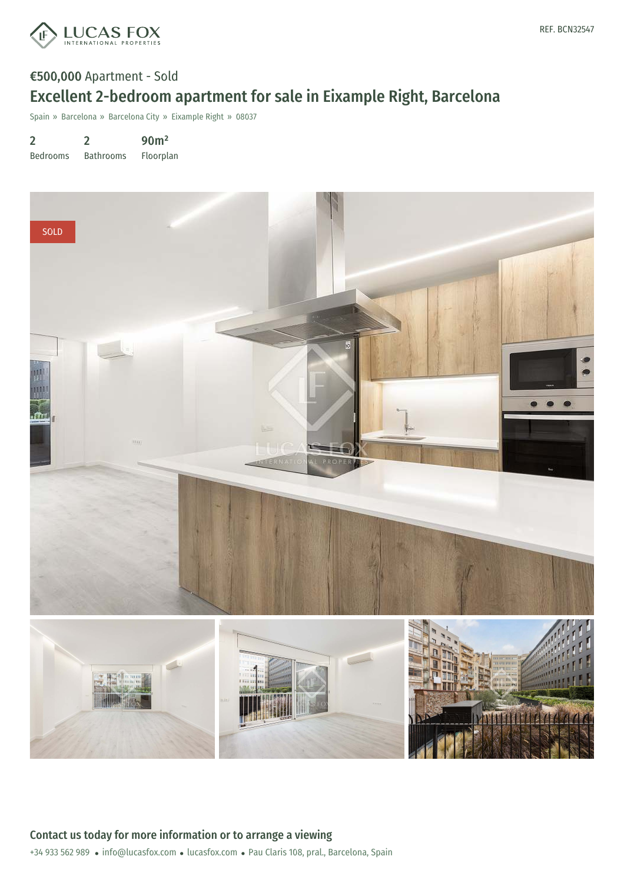

## €500,000 Apartment - Sold Excellent 2-bedroom apartment for sale in Eixample Right, Barcelona

Spain » Barcelona » Barcelona City » Eixample Right » 08037

2 Bedrooms 2 Bathrooms 90m² Floorplan

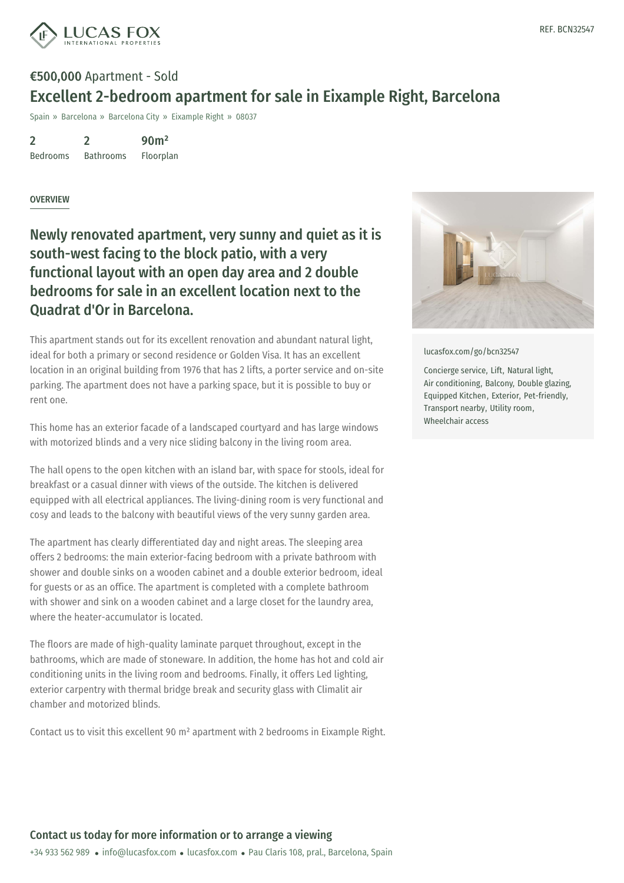

## €500,000 Apartment - Sold Excellent 2-bedroom apartment for sale in Eixample Right, Barcelona

Spain » Barcelona » Barcelona City » Eixample Right » 08037

2 Bedrooms 2 Bathrooms 90m²

Floorplan

## **OVERVIEW**

Newly renovated apartment, very sunny and quiet as it is south-west facing to the block patio, with a very functional layout with an open day area and 2 double bedrooms for sale in an excellent location next to the Quadrat d'Or in Barcelona.

This apartment stands out for its excellent renovation and abundant natural light, ideal for both a primary or second residence or Golden Visa. It has an excellent location in an original building from 1976 that has 2 lifts, a porter service and on-site parking. The apartment does not have a parking space, but it is possible to buy or rent one.

This home has an exterior facade of a landscaped courtyard and has large windows with motorized blinds and a very nice sliding balcony in the living room area.

The hall opens to the open kitchen with an island bar, with space for stools, ideal for breakfast or a casual dinner with views of the outside. The kitchen is delivered equipped with all electrical appliances. The living-dining room is very functional and cosy and leads to the balcony with beautiful views of the very sunny garden area.

The apartment has clearly differentiated day and night areas. The sleeping area offers 2 bedrooms: the main exterior-facing bedroom with a private bathroom with shower and double sinks on a wooden cabinet and a double exterior bedroom, ideal for guests or as an office. The apartment is completed with a complete bathroom with shower and sink on a wooden cabinet and a large closet for the laundry area, where the heater-accumulator is located.

The floors are made of high-quality laminate parquet throughout, except in the bathrooms, which are [made](mailto:info@lucasfox.com) of stone[ware.](https://www.lucasfox.com) In addition, the home has hot and cold air conditioning units in the living room and bedrooms. Finally, it offers Led lighting, exterior carpentry with thermal bridge break and security glass with Climalit air chamber and motorized blinds.

Contact us to visit this excellent 90 m² apartment with 2 bedrooms in Eixample Right.



[lucasfox.com/go/bcn32547](https://www.lucasfox.com/go/bcn32547)

Concierge service, Lift, Natural light, Air conditioning, Balcony, Double glazing, Equipped Kitchen, Exterior, Pet-friendly, Transport nearby, Utility room, Wheelchair access